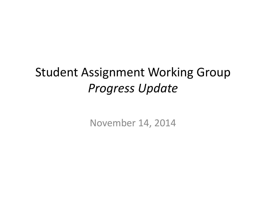#### Student Assignment Working Group *Progress Update*

November 14, 2014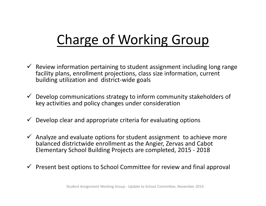# Charge of Working Group

- $\checkmark$  Review information pertaining to student assignment including long range facility plans, enrollment projections, class size information, current building utilization and district‐wide goals
- $\checkmark$  Develop communications strategy to inform community stakeholders of key activities and policy changes under consideration
- $\checkmark$ Develop clear and appropriate criteria for evaluating options
- $\checkmark$  Analyze and evaluate options for student assignment to achieve more balanced districtwide enrollment as the Angier, Zervas and Cabot Elementary School Building Projects are completed, 2015 ‐ 2018
- $\checkmark$  Present best options to School Committee for review and final approval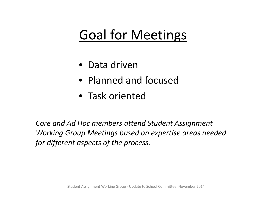## Goal for Meetings

- Data driven
- Planned and focused
- Task oriented

*Core and Ad Hoc members attend Student Assignment Working Group Meetings based on expertise areas needed for different aspects of the process.*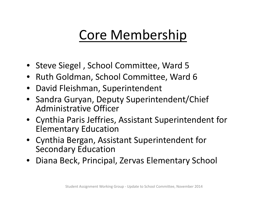### Core Membership

- Steve Siegel , School Committee, Ward 5
- Ruth Goldman, School Committee, Ward 6
- •David Fleishman, Superintendent
- Sandra Guryan, Deputy Superintendent/Chief Administrative Officer
- Cynthia Paris Jeffries, Assistant Superintendent for Elementary Education
- Cynthia Bergan, Assistant Superintendent for Secondary Education
- Diana Beck, Principal, Zervas Elementary School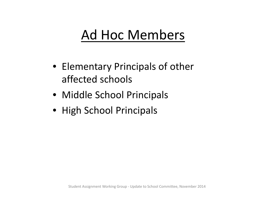### Ad Hoc Members

- Elementary Principals of other affected schools
- Middle School Principals
- High School Principals